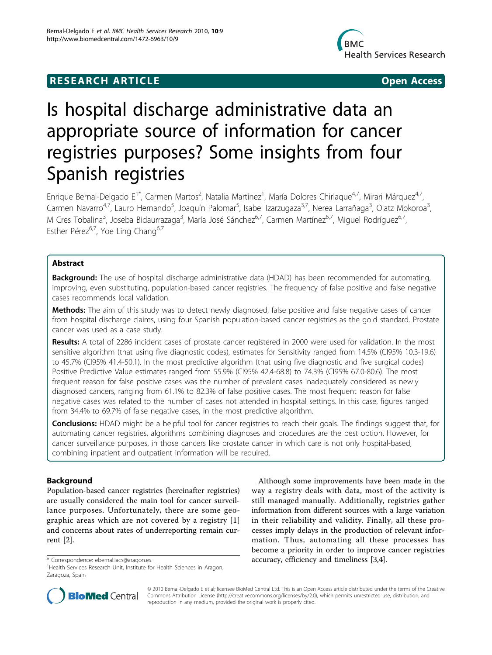# **RESEARCH ARTICLE Example 2018 CONSUMING ACCESS**



# Is hospital discharge administrative data an appropriate source of information for cancer registries purposes? Some insights from four Spanish registries

Enrique Bernal-Delgado E<sup>1\*</sup>, Carmen Martos<sup>2</sup>, Natalia Martínez<sup>1</sup>, María Dolores Chirlaque<sup>4,7</sup>, Mirari Márquez<sup>4,7</sup>, Carmen Navarro<sup>4,7</sup>, Lauro Hernando<sup>5</sup>, Joaquín Palomar<sup>5</sup>, Isabel Izarzugaza<sup>3,7</sup>, Nerea Larrañaga<sup>3</sup>, Olatz Mokoroa<sup>3</sup> , M Cres Tobalina<sup>3</sup>, Joseba Bidaurrazaga<sup>3</sup>, María José Sánchez<sup>6,7</sup>, Carmen Martínez<sup>6,7</sup>, Miguel Rodríguez<sup>6,7</sup>, Esther Pérez<sup>6,7</sup>, Yoe Ling Chang<sup>6,7</sup>

# Abstract

Background: The use of hospital discharge administrative data (HDAD) has been recommended for automating, improving, even substituting, population-based cancer registries. The frequency of false positive and false negative cases recommends local validation.

Methods: The aim of this study was to detect newly diagnosed, false positive and false negative cases of cancer from hospital discharge claims, using four Spanish population-based cancer registries as the gold standard. Prostate cancer was used as a case study.

Results: A total of 2286 incident cases of prostate cancer registered in 2000 were used for validation. In the most sensitive algorithm (that using five diagnostic codes), estimates for Sensitivity ranged from 14.5% (CI95% 10.3-19.6) to 45.7% (CI95% 41.4-50.1). In the most predictive algorithm (that using five diagnostic and five surgical codes) Positive Predictive Value estimates ranged from 55.9% (CI95% 42.4-68.8) to 74.3% (CI95% 67.0-80.6). The most frequent reason for false positive cases was the number of prevalent cases inadequately considered as newly diagnosed cancers, ranging from 61.1% to 82.3% of false positive cases. The most frequent reason for false negative cases was related to the number of cases not attended in hospital settings. In this case, figures ranged from 34.4% to 69.7% of false negative cases, in the most predictive algorithm.

Conclusions: HDAD might be a helpful tool for cancer registries to reach their goals. The findings suggest that, for automating cancer registries, algorithms combining diagnoses and procedures are the best option. However, for cancer surveillance purposes, in those cancers like prostate cancer in which care is not only hospital-based, combining inpatient and outpatient information will be required.

# Background

Population-based cancer registries (hereinafter registries) are usually considered the main tool for cancer surveillance purposes. Unfortunately, there are some geographic areas which are not covered by a registry [[1](#page-7-0)] and concerns about rates of underreporting remain current [[2\]](#page-7-0).

Although some improvements have been made in the way a registry deals with data, most of the activity is still managed manually. Additionally, registries gather information from different sources with a large variation in their reliability and validity. Finally, all these processes imply delays in the production of relevant information. Thus, automating all these processes has become a priority in order to improve cancer registries \* Correspondence: [ebernal.iacs@aragon.es](mailto:ebernal.iacs@aragon.es) **accuracy, efficiency and timeliness** [[3,4\]](#page-7-0).



© 2010 Bernal-Delgado E et al; licensee BioMed Central Ltd. This is an Open Access article distributed under the terms of the Creative Commons Attribution License [\(http://creativecommons.org/licenses/by/2.0](http://creativecommons.org/licenses/by/2.0)), which permits unrestricted use, distribution, and reproduction in any medium, provided the original work is properly cited.

<sup>&</sup>lt;sup>1</sup>Health Services Research Unit, Institute for Health Sciences in Aragon, Zaragoza, Spain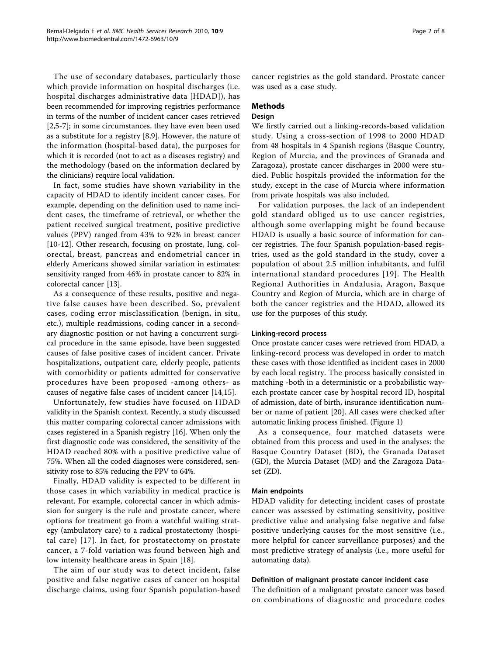The use of secondary databases, particularly those which provide information on hospital discharges (i.e. hospital discharges administrative data [HDAD]), has been recommended for improving registries performance in terms of the number of incident cancer cases retrieved [[2,5-7](#page-7-0)]; in some circumstances, they have even been used as a substitute for a registry [[8,9\]](#page-7-0). However, the nature of the information (hospital-based data), the purposes for which it is recorded (not to act as a diseases registry) and the methodology (based on the information declared by the clinicians) require local validation.

In fact, some studies have shown variability in the capacity of HDAD to identify incident cancer cases. For example, depending on the definition used to name incident cases, the timeframe of retrieval, or whether the patient received surgical treatment, positive predictive values (PPV) ranged from 43% to 92% in breast cancer [[10-12](#page-7-0)]. Other research, focusing on prostate, lung, colorectal, breast, pancreas and endometrial cancer in elderly Americans showed similar variation in estimates: sensitivity ranged from 46% in prostate cancer to 82% in colorectal cancer [\[13](#page-7-0)].

As a consequence of these results, positive and negative false causes have been described. So, prevalent cases, coding error misclassification (benign, in situ, etc.), multiple readmissions, coding cancer in a secondary diagnostic position or not having a concurrent surgical procedure in the same episode, have been suggested causes of false positive cases of incident cancer. Private hospitalizations, outpatient care, elderly people, patients with comorbidity or patients admitted for conservative procedures have been proposed -among others- as causes of negative false cases of incident cancer [\[14,15\]](#page-7-0).

Unfortunately, few studies have focused on HDAD validity in the Spanish context. Recently, a study discussed this matter comparing colorectal cancer admissions with cases registered in a Spanish registry [[16](#page-7-0)]. When only the first diagnostic code was considered, the sensitivity of the HDAD reached 80% with a positive predictive value of 75%. When all the coded diagnoses were considered, sensitivity rose to 85% reducing the PPV to 64%.

Finally, HDAD validity is expected to be different in those cases in which variability in medical practice is relevant. For example, colorectal cancer in which admission for surgery is the rule and prostate cancer, where options for treatment go from a watchful waiting strategy (ambulatory care) to a radical prostatectomy (hospital care) [[17](#page-7-0)]. In fact, for prostatectomy on prostate cancer, a 7-fold variation was found between high and low intensity healthcare areas in Spain [\[18\]](#page-7-0).

The aim of our study was to detect incident, false positive and false negative cases of cancer on hospital discharge claims, using four Spanish population-based cancer registries as the gold standard. Prostate cancer was used as a case study.

## Methods

# Design

We firstly carried out a linking-records-based validation study. Using a cross-section of 1998 to 2000 HDAD from 48 hospitals in 4 Spanish regions (Basque Country, Region of Murcia, and the provinces of Granada and Zaragoza), prostate cancer discharges in 2000 were studied. Public hospitals provided the information for the study, except in the case of Murcia where information from private hospitals was also included.

For validation purposes, the lack of an independent gold standard obliged us to use cancer registries, although some overlapping might be found because HDAD is usually a basic source of information for cancer registries. The four Spanish population-based registries, used as the gold standard in the study, cover a population of about 2.5 million inhabitants, and fulfil international standard procedures [[19](#page-7-0)]. The Health Regional Authorities in Andalusia, Aragon, Basque Country and Region of Murcia, which are in charge of both the cancer registries and the HDAD, allowed its use for the purposes of this study.

#### Linking-record process

Once prostate cancer cases were retrieved from HDAD, a linking-record process was developed in order to match these cases with those identified as incident cases in 2000 by each local registry. The process basically consisted in matching -both in a deterministic or a probabilistic wayeach prostate cancer case by hospital record ID, hospital of admission, date of birth, insurance identification number or name of patient [[20\]](#page-7-0). All cases were checked after automatic linking process finished. (Figure [1\)](#page-2-0)

As a consequence, four matched datasets were obtained from this process and used in the analyses: the Basque Country Dataset (BD), the Granada Dataset (GD), the Murcia Dataset (MD) and the Zaragoza Dataset (ZD).

#### Main endpoints

HDAD validity for detecting incident cases of prostate cancer was assessed by estimating sensitivity, positive predictive value and analysing false negative and false positive underlying causes for the most sensitive (i.e., more helpful for cancer surveillance purposes) and the most predictive strategy of analysis (i.e., more useful for automating data).

#### Definition of malignant prostate cancer incident case

The definition of a malignant prostate cancer was based on combinations of diagnostic and procedure codes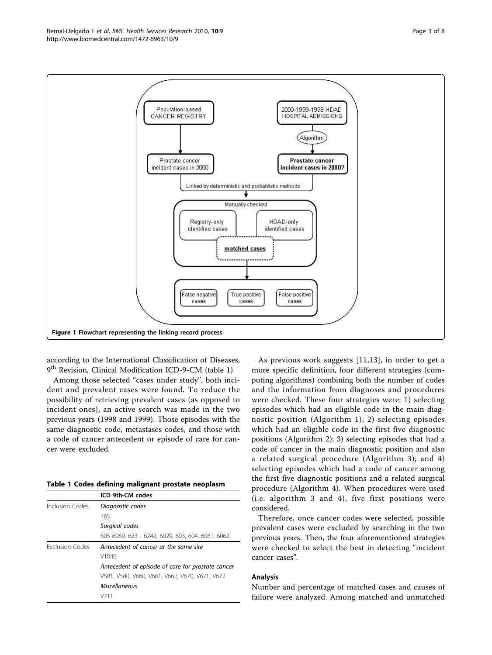according to the International Classification of Diseases, 9<sup>th</sup> Revision, Clinical Modification ICD-9-CM (table 1)

Among those selected "cases under study", both incident and prevalent cases were found. To reduce the possibility of retrieving prevalent cases (as opposed to

| Table 1 Codes defining malignant prostate neoplasm |  |
|----------------------------------------------------|--|
|----------------------------------------------------|--|

|                 | ICD 9th-CM codes                                  |  |  |
|-----------------|---------------------------------------------------|--|--|
| Inclusion Codes | Diagnostic codes                                  |  |  |
|                 | 185                                               |  |  |
|                 | Surgical codes                                    |  |  |
|                 | 605 6069, 623 - 6242, 6029, 603, 604, 6061, 6062  |  |  |
| Exclusion Codes | Antecedent of cancer at the same site             |  |  |
|                 | V1046                                             |  |  |
|                 | Antecedent of episode of care for prostate cancer |  |  |
|                 | V581, V580, V660, V661, V662, V670, V671, V672    |  |  |
|                 | <b>Miscellaneous</b>                              |  |  |
|                 | V711                                              |  |  |

As previous work suggests [[11,13](#page-7-0)], in order to get a more specific definition, four different strategies (computing algorithms) combining both the number of codes and the information from diagnoses and procedures were checked. These four strategies were: 1) selecting episodes which had an eligible code in the main diagnostic position (Algorithm 1); 2) selecting episodes which had an eligible code in the first five diagnostic positions (Algorithm 2); 3) selecting episodes that had a code of cancer in the main diagnostic position and also a related surgical procedure (Algorithm 3); and 4) selecting episodes which had a code of cancer among the first five diagnostic positions and a related surgical procedure (Algorithm 4). When procedures were used (i.e. algorithm 3 and 4), five first positions were considered.

Therefore, once cancer codes were selected, possible prevalent cases were excluded by searching in the two previous years. Then, the four aforementioned strategies were checked to select the best in detecting "incident cancer cases".

#### Analysis

Number and percentage of matched cases and causes of failure were analyzed. Among matched and unmatched



<span id="page-2-0"></span>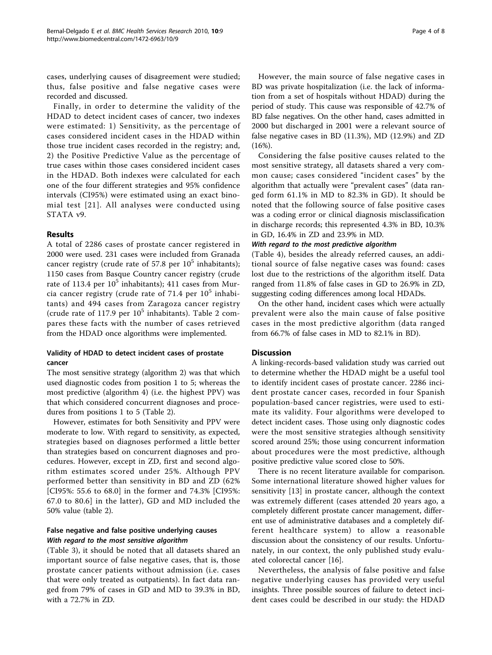cases, underlying causes of disagreement were studied; thus, false positive and false negative cases were recorded and discussed.

Finally, in order to determine the validity of the HDAD to detect incident cases of cancer, two indexes were estimated: 1) Sensitivity, as the percentage of cases considered incident cases in the HDAD within those true incident cases recorded in the registry; and, 2) the Positive Predictive Value as the percentage of true cases within those cases considered incident cases in the HDAD. Both indexes were calculated for each one of the four different strategies and 95% confidence intervals (CI95%) were estimated using an exact binomial test [[21](#page-7-0)]. All analyses were conducted using STATA v9.

## Results

A total of 2286 cases of prostate cancer registered in 2000 were used. 231 cases were included from Granada cancer registry (crude rate of 57.8 per  $10^5$  inhabitants); 1150 cases from Basque Country cancer registry (crude rate of 113.4 per  $10^5$  inhabitants); 411 cases from Murcia cancer registry (crude rate of 71.4 per  $10^5$  inhabitants) and 494 cases from Zaragoza cancer registry (crude rate of 117.9 per  $10^5$  inhabitants). Table [2](#page-4-0) compares these facts with the number of cases retrieved from the HDAD once algorithms were implemented.

# Validity of HDAD to detect incident cases of prostate cancer

The most sensitive strategy (algorithm 2) was that which used diagnostic codes from position 1 to 5; whereas the most predictive (algorithm 4) (i.e. the highest PPV) was that which considered concurrent diagnoses and procedures from positions 1 to 5 (Table [2\)](#page-4-0).

However, estimates for both Sensitivity and PPV were moderate to low. With regard to sensitivity, as expected, strategies based on diagnoses performed a little better than strategies based on concurrent diagnoses and procedures. However, except in ZD, first and second algorithm estimates scored under 25%. Although PPV performed better than sensitivity in BD and ZD (62% [CI95%: 55.6 to 68.0] in the former and 74.3% [CI95%: 67.0 to 80.6] in the latter), GD and MD included the 50% value (table [2\)](#page-4-0).

# False negative and false positive underlying causes With regard to the most sensitive algorithm

(Table [3\)](#page-5-0), it should be noted that all datasets shared an important source of false negative cases, that is, those prostate cancer patients without admission (i.e. cases that were only treated as outpatients). In fact data ranged from 79% of cases in GD and MD to 39.3% in BD, with a 72.7% in ZD.

However, the main source of false negative cases in BD was private hospitalization (i.e. the lack of information from a set of hospitals without HDAD) during the period of study. This cause was responsible of 42.7% of BD false negatives. On the other hand, cases admitted in 2000 but discharged in 2001 were a relevant source of false negative cases in BD (11.3%), MD (12.9%) and ZD (16%).

Considering the false positive causes related to the most sensitive strategy, all datasets shared a very common cause; cases considered "incident cases" by the algorithm that actually were "prevalent cases" (data ranged form 61.1% in MD to 82.3% in GD). It should be noted that the following source of false positive cases was a coding error or clinical diagnosis misclassification in discharge records; this represented 4.3% in BD, 10.3% in GD, 16.4% in ZD and 23.9% in MD.

#### With regard to the most predictive algorithm

(Table [4](#page-6-0)), besides the already referred causes, an additional source of false negative cases was found: cases lost due to the restrictions of the algorithm itself. Data ranged from 11.8% of false cases in GD to 26.9% in ZD, suggesting coding differences among local HDADs.

On the other hand, incident cases which were actually prevalent were also the main cause of false positive cases in the most predictive algorithm (data ranged from 66.7% of false cases in MD to 82.1% in BD).

#### **Discussion**

A linking-records-based validation study was carried out to determine whether the HDAD might be a useful tool to identify incident cases of prostate cancer. 2286 incident prostate cancer cases, recorded in four Spanish population-based cancer registries, were used to estimate its validity. Four algorithms were developed to detect incident cases. Those using only diagnostic codes were the most sensitive strategies although sensitivity scored around 25%; those using concurrent information about procedures were the most predictive, although positive predictive value scored close to 50%.

There is no recent literature available for comparison. Some international literature showed higher values for sensitivity [[13\]](#page-7-0) in prostate cancer, although the context was extremely different (cases attended 20 years ago, a completely different prostate cancer management, different use of administrative databases and a completely different healthcare system) to allow a reasonable discussion about the consistency of our results. Unfortunately, in our context, the only published study evaluated colorectal cancer [[16\]](#page-7-0).

Nevertheless, the analysis of false positive and false negative underlying causes has provided very useful insights. Three possible sources of failure to detect incident cases could be described in our study: the HDAD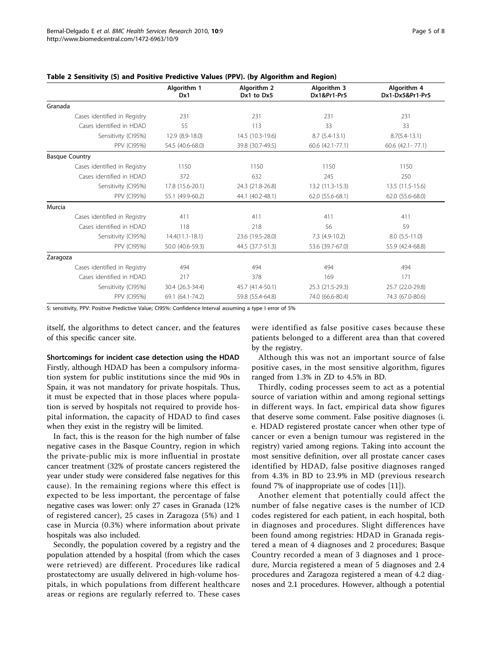|                              | Algorithm 1<br>Dx1 | Algorithm 2<br>Dx1 to Dx5 | Algorithm 3<br>Dx1&Pr1-Pr5 | Algorithm 4<br>Dx1-Dx5&Pr1-Pr5 |
|------------------------------|--------------------|---------------------------|----------------------------|--------------------------------|
| Granada                      |                    |                           |                            |                                |
| Cases identified in Registry | 231                | 231                       | 231                        | 231                            |
| Cases identified in HDAD     | 55                 | 113                       | 33                         | 33                             |
| Sensitivity (CI95%)          | 12.9 (8.9-18.0)    | 14.5 (10.3-19.6)          | $8.7(5.4-13.1)$            | $8.7(5.4-13.1)$                |
| <b>PPV (CI95%)</b>           | 54.5 (40.6-68.0)   | 39.8 (30.7-49.5)          | 60.6 (42.1-77.1)           | $60.6$ $(42.1 - 77.1)$         |
| <b>Basque Country</b>        |                    |                           |                            |                                |
| Cases identified in Registry | 1150               | 1150                      | 1150                       | 1150                           |
| Cases identified in HDAD     | 372                | 632                       | 245                        | 250                            |
| Sensitivity (CI95%)          | 17.8 (15.6-20.1)   | 24.3 (21.8-26.8)          | 13.2 (11.3-15.3)           | 13.5 (11.5-15.6)               |
| <b>PPV (CI95%)</b>           | 55.1 (49.9-60.2)   | 44.1 (40.2-48.1)          | 62.0 (55.6-68.1)           | 62.0 (55.6-68.0)               |
| Murcia                       |                    |                           |                            |                                |
| Cases identified in Registry | 411                | 411                       | 411                        | 411                            |
| Cases identified in HDAD     | 118                | 218                       | 56                         | 59                             |
| Sensitivity (CI95%)          | $14.4(11.1-18.1)$  | 23.6 (19.5-28.0)          | $7.3$ (4.9-10.2)           | $8.0$ (5.5-11.0)               |
| <b>PPV (CI95%)</b>           | 50.0 (40.6-59.3)   | 44.5 (37.7-51.3)          | 53.6 (39.7-67.0)           | 55.9 (42.4-68.8)               |
| Zaragoza                     |                    |                           |                            |                                |
| Cases identified in Registry | 494                | 494                       | 494                        | 494                            |
| Cases identified in HDAD     | 217                | 378                       | 169                        | 171                            |
| Sensitivity (CI95%)          | 30.4 (26.3-34.4)   | 45.7 (41.4-50.1)          | 25.3 (21.5-29.3)           | 25.7 (22.0-29.8)               |
| <b>PPV (CI95%)</b>           | 69.1 (64.1-74.2)   | 59.8 (55.4-64.8)          | 74.0 (66.6-80.4)           | 74.3 (67.0-80.6)               |

#### <span id="page-4-0"></span>Table 2 Sensitivity (S) and Positive Predictive Values (PPV). (by Algorithm and Region)

S: sensitivity, PPV: Positive Predictive Value; CI95%: Confidence Interval assuming a type I error of 5%

itself, the algorithms to detect cancer, and the features of this specific cancer site.

Shortcomings for incident case detection using the HDAD Firstly, although HDAD has been a compulsory information system for public institutions since the mid 90s in Spain, it was not mandatory for private hospitals. Thus, it must be expected that in those places where population is served by hospitals not required to provide hospital information, the capacity of HDAD to find cases when they exist in the registry will be limited.

In fact, this is the reason for the high number of false negative cases in the Basque Country, region in which the private-public mix is more influential in prostate cancer treatment (32% of prostate cancers registered the year under study were considered false negatives for this cause). In the remaining regions where this effect is expected to be less important, the percentage of false negative cases was lower: only 27 cases in Granada (12% of registered cancer), 25 cases in Zaragoza (5%) and 1 case in Murcia (0.3%) where information about private hospitals was also included.

Secondly, the population covered by a registry and the population attended by a hospital (from which the cases were retrieved) are different. Procedures like radical prostatectomy are usually delivered in high-volume hospitals, in which populations from different healthcare areas or regions are regularly referred to. These cases were identified as false positive cases because these patients belonged to a different area than that covered by the registry.

Although this was not an important source of false positive cases, in the most sensitive algorithm, figures ranged from 1.3% in ZD to 4.5% in BD.

Thirdly, coding processes seem to act as a potential source of variation within and among regional settings in different ways. In fact, empirical data show figures that deserve some comment. False positive diagnoses (i. e. HDAD registered prostate cancer when other type of cancer or even a benign tumour was registered in the registry) varied among regions. Taking into account the most sensitive definition, over all prostate cancer cases identified by HDAD, false positive diagnoses ranged from 4.3% in BD to 23.9% in MD (previous research found 7% of inappropriate use of codes [[11\]](#page-7-0)).

Another element that potentially could affect the number of false negative cases is the number of ICD codes registered for each patient, in each hospital, both in diagnoses and procedures. Slight differences have been found among registries: HDAD in Granada registered a mean of 4 diagnoses and 2 procedures; Basque Country recorded a mean of 3 diagnoses and 1 procedure, Murcia registered a mean of 5 diagnoses and 2.4 procedures and Zaragoza registered a mean of 4.2 diagnoses and 2.1 procedures. However, although a potential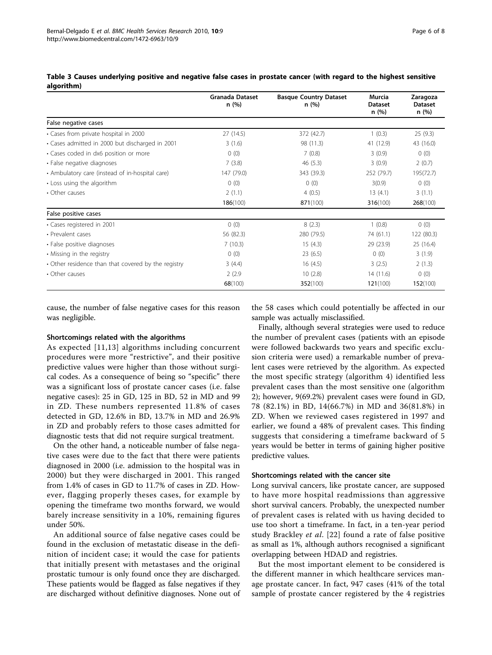|                                                     | Granada Dataset<br>n (%) | <b>Basque Country Dataset</b><br>n(%) | Murcia<br><b>Dataset</b><br>n(%) | Zaragoza<br><b>Dataset</b><br>n(%) |
|-----------------------------------------------------|--------------------------|---------------------------------------|----------------------------------|------------------------------------|
| False negative cases                                |                          |                                       |                                  |                                    |
| • Cases from private hospital in 2000               | 27 (14.5)                | 372 (42.7)                            | 1(0.3)                           | 25(9.3)                            |
| • Cases admitted in 2000 but discharged in 2001     | 3(1.6)                   | 98 (11.3)                             | 41 (12.9)                        | 43 (16.0)                          |
| · Cases coded in dx6 position or more               | 0(0)                     | 7(0.8)                                | 3(0.9)                           | 0(0)                               |
| • False negative diagnoses                          | 7(3.8)                   | 46(5.3)                               | 3(0.9)                           | 2(0.7)                             |
| • Ambulatory care (instead of in-hospital care)     | 147 (79.0)               | 343 (39.3)                            | 252 (79.7)                       | 195(72.7)                          |
| • Loss using the algorithm                          | 0(0)                     | 0(0)                                  | 3(0.9)                           | 0(0)                               |
| • Other causes                                      | 2(1.1)                   | 4(0.5)                                | 13(4.1)                          | 3(1.1)                             |
|                                                     | 186(100)                 | 871(100)                              | 316(100)                         | 268(100)                           |
| False positive cases                                |                          |                                       |                                  |                                    |
| • Cases registered in 2001                          | 0(0)                     | 8(2.3)                                | 1(0.8)                           | 0(0)                               |
| • Prevalent cases                                   | 56 (82.3)                | 280 (79.5)                            | 74 (61.1)                        | 122 (80.3)                         |
| • False positive diagnoses                          | 7(10.3)                  | 15(4.3)                               | 29 (23.9)                        | 25 (16.4)                          |
| • Missing in the registry                           | 0(0)                     | 23(6.5)                               | 0(0)                             | 3(1.9)                             |
| • Other residence than that covered by the registry | 3(4.4)                   | 16(4.5)                               | 3(2.5)                           | 2(1.3)                             |
| • Other causes                                      | 2(2.9)                   | 10(2.8)                               | 14 (11.6)                        | 0(0)                               |
|                                                     | 68(100)                  | 352(100)                              | 121(100)                         | 152(100)                           |

<span id="page-5-0"></span>

| Table 3 Causes underlying positive and negative false cases in prostate cancer (with regard to the highest sensitive |  |  |  |  |  |
|----------------------------------------------------------------------------------------------------------------------|--|--|--|--|--|
| algorithm)                                                                                                           |  |  |  |  |  |

cause, the number of false negative cases for this reason was negligible.

#### Shortcomings related with the algorithms

As expected [\[11,13\]](#page-7-0) algorithms including concurrent procedures were more "restrictive", and their positive predictive values were higher than those without surgical codes. As a consequence of being so "specific" there was a significant loss of prostate cancer cases (i.e. false negative cases): 25 in GD, 125 in BD, 52 in MD and 99 in ZD. These numbers represented 11.8% of cases detected in GD, 12.6% in BD, 13.7% in MD and 26.9% in ZD and probably refers to those cases admitted for diagnostic tests that did not require surgical treatment.

On the other hand, a noticeable number of false negative cases were due to the fact that there were patients diagnosed in 2000 (i.e. admission to the hospital was in 2000) but they were discharged in 2001. This ranged from 1.4% of cases in GD to 11.7% of cases in ZD. However, flagging properly theses cases, for example by opening the timeframe two months forward, we would barely increase sensitivity in a 10%, remaining figures under 50%.

An additional source of false negative cases could be found in the exclusion of metastatic disease in the definition of incident case; it would the case for patients that initially present with metastases and the original prostatic tumour is only found once they are discharged. These patients would be flagged as false negatives if they are discharged without definitive diagnoses. None out of

the 58 cases which could potentially be affected in our sample was actually misclassified.

Finally, although several strategies were used to reduce the number of prevalent cases (patients with an episode were followed backwards two years and specific exclusion criteria were used) a remarkable number of prevalent cases were retrieved by the algorithm. As expected the most specific strategy (algorithm 4) identified less prevalent cases than the most sensitive one (algorithm 2); however, 9(69.2%) prevalent cases were found in GD, 78 (82.1%) in BD, 14(66.7%) in MD and 36(81.8%) in ZD. When we reviewed cases registered in 1997 and earlier, we found a 48% of prevalent cases. This finding suggests that considering a timeframe backward of 5 years would be better in terms of gaining higher positive predictive values.

#### Shortcomings related with the cancer site

Long survival cancers, like prostate cancer, are supposed to have more hospital readmissions than aggressive short survival cancers. Probably, the unexpected number of prevalent cases is related with us having decided to use too short a timeframe. In fact, in a ten-year period study Brackley et al. [22] found a rate of false positive as small as 1%, although authors recognised a significant overlapping between HDAD and registries.

But the most important element to be considered is the different manner in which healthcare services manage prostate cancer. In fact, 947 cases (41% of the total sample of prostate cancer registered by the 4 registries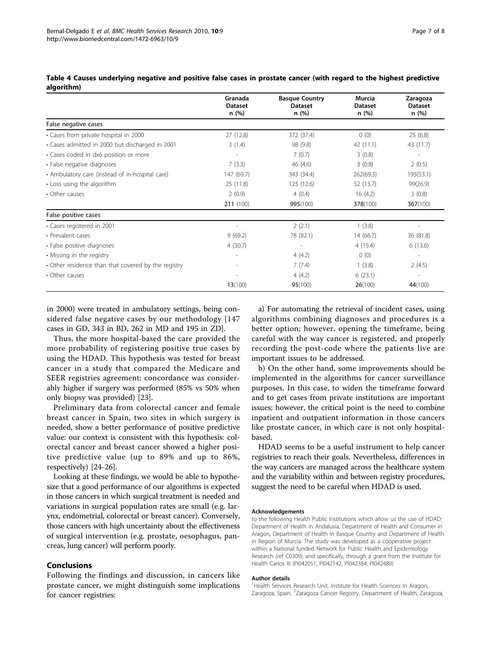|                                                     | Granada                 | <b>Basque Country</b>  | Murcia                  | Zaragoza                 |
|-----------------------------------------------------|-------------------------|------------------------|-------------------------|--------------------------|
|                                                     | <b>Dataset</b><br>n (%) | <b>Dataset</b><br>n(%) | <b>Dataset</b><br>n (%) | <b>Dataset</b><br>n (%)  |
| False negative cases                                |                         |                        |                         |                          |
| • Cases from private hospital in 2000               | 27 (12.8)               | 372 (37.4)             | 0(0)                    | 25(6.8)                  |
| • Cases admitted in 2000 but discharged in 2001     | 3(1.4)                  | 98 (9.8)               | 42 (11.1)               | 43 (11.7)                |
| • Cases coded in dx6 position or more               |                         | 7(0.7)                 | 3(0.8)                  |                          |
| • False negative diagnoses                          | 7(3.3)                  | 46 (4.6)               | 3(0.8)                  | 2(0.5)                   |
| • Ambulatory care (instead of in-hospital care)     | 147 (69.7)              | 343 (34.4)             | 262(69.3)               | 195(53.1)                |
| • Loss using the algorithm                          | 25 (11.8)               | 125 (12.6)             | 52 (13.7)               | 99(26.9)                 |
| • Other causes                                      | 2(0.9)                  | 4(0.4)                 | 16(4.2)                 | 3(0.8)                   |
|                                                     | 211 (100)               | 995(100)               | 378(100)                | 367(100)                 |
| False positive cases                                |                         |                        |                         |                          |
| · Cases registered in 2001                          |                         | 2(2.1)                 | 1(3.8)                  |                          |
| · Prevalent cases                                   | 9(69.2)                 | 78 (82.1)              | 14 (66.7)               | 36 (81.8)                |
| • False positive diagnoses                          | 4(30.7)                 |                        | 4(15.4)                 | 6(13.6)                  |
| • Missing in the registry                           |                         | 4(4.2)                 | 0(0)                    |                          |
| • Other residence than that covered by the registry |                         | 7(7.4)                 | 1(3.8)                  | 2(4.5)                   |
| • Other causes                                      |                         | 4(4.2)                 | 6(23.1)                 | $\overline{\phantom{a}}$ |
|                                                     | 13(100)                 | 95(100)                | 26(100)                 | 44(100)                  |

<span id="page-6-0"></span>

| Table 4 Causes underlying negative and positive false cases in prostate cancer (with regard to the highest predictive |  |  |  |
|-----------------------------------------------------------------------------------------------------------------------|--|--|--|
| algorithm)                                                                                                            |  |  |  |

in 2000) were treated in ambulatory settings, being considered false negative cases by our methodology [147 cases in GD, 343 in BD, 262 in MD and 195 in ZD].

Thus, the more hospital-based the care provided the more probability of registering positive true cases by using the HDAD. This hypothesis was tested for breast cancer in a study that compared the Medicare and SEER registries agreement: concordance was considerably higher if surgery was performed (85% vs 50% when only biopsy was provided) [23].

Preliminary data from colorectal cancer and female breast cancer in Spain, two sites in which surgery is needed, show a better performance of positive predictive value: our context is consistent with this hypothesis: colorectal cancer and breast cancer showed a higher positive predictive value (up to 89% and up to 86%, respectively) [24-[26\]](#page-7-0).

Looking at these findings, we would be able to hypothesize that a good performance of our algorithms is expected in those cancers in which surgical treatment is needed and variations in surgical population rates are small (e.g. larynx, endometrial, colorectal or breast cancer). Conversely, those cancers with high uncertainty about the effectiveness of surgical intervention (e.g. prostate, oesophagus, pancreas, lung cancer) will perform poorly.

# Conclusions

Following the findings and discussion, in cancers like prostate cancer, we might distinguish some implications for cancer registries:

a) For automating the retrieval of incident cases, using algorithms combining diagnoses and procedures is a better option; however, opening the timeframe, being careful with the way cancer is registered, and properly recording the post-code where the patients live are important issues to be addressed.

b) On the other hand, some improvements should be implemented in the algorithms for cancer surveillance purposes. In this case, to widen the timeframe forward and to get cases from private institutions are important issues; however, the critical point is the need to combine inpatient and outpatient information in those cancers like prostate cancer, in which care is not only hospitalbased.

HDAD seems to be a useful instrument to help cancer registries to reach their goals. Nevertheless, differences in the way cancers are managed across the healthcare system and the variability within and between registry procedures, suggest the need to be careful when HDAD is used.

#### Acknowledgements

to the following Health Public Institutions which allow us the use of HDAD: Department of Health in Andalusia, Department of Health and Consumer in Aragon, Department of Health in Basque Country and Department of Health in Region of Murcia. The study was developed as a cooperative project within a National funded Network for Public Health and Epidemiology Research (ref C0309); and specifically, through a grant from the Institute for Health Carlos III (PI042051, PI042142, PI042384, PI042489)

#### Author details

<sup>1</sup>Health Services Research Unit, Institute for Health Sciences in Aragon, Zaragoza, Spain. <sup>2</sup>Zaragoza Cancer Registry, Department of Health, Zaragoza,